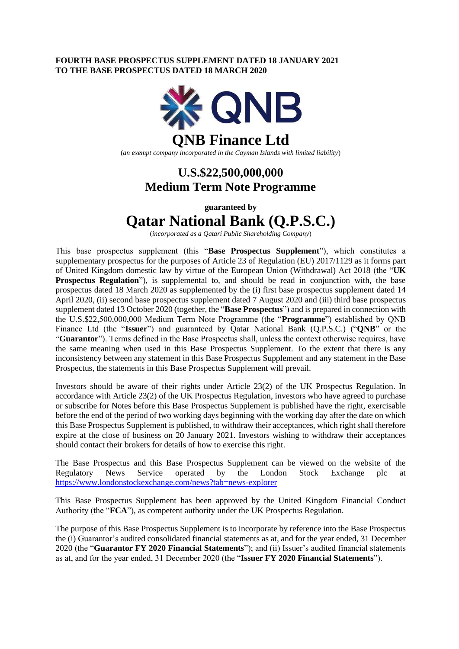### **FOURTH BASE PROSPECTUS SUPPLEMENT DATED 18 JANUARY 2021 TO THE BASE PROSPECTUS DATED 18 MARCH 2020**



## **U.S.\$22,500,000,000 Medium Term Note Programme**

**guaranteed by**

# **Qatar National Bank (Q.P.S.C.)**

(*incorporated as a Qatari Public Shareholding Company*)

This base prospectus supplement (this "**Base Prospectus Supplement**"), which constitutes a supplementary prospectus for the purposes of Article 23 of Regulation (EU) 2017/1129 as it forms part of United Kingdom domestic law by virtue of the European Union (Withdrawal) Act 2018 (the "**UK Prospectus Regulation**"), is supplemental to, and should be read in conjunction with, the base prospectus dated 18 March 2020 as supplemented by the (i) first base prospectus supplement dated 14 April 2020, (ii) second base prospectus supplement dated 7 August 2020 and (iii) third base prospectus supplement dated 13 October 2020 (together, the "**Base Prospectus**") and is prepared in connection with the U.S.\$22,500,000,000 Medium Term Note Programme (the "**Programme**") established by QNB Finance Ltd (the "**Issuer**") and guaranteed by Qatar National Bank (Q.P.S.C.) ("**QNB**" or the "**Guarantor**"). Terms defined in the Base Prospectus shall, unless the context otherwise requires, have the same meaning when used in this Base Prospectus Supplement. To the extent that there is any inconsistency between any statement in this Base Prospectus Supplement and any statement in the Base Prospectus, the statements in this Base Prospectus Supplement will prevail.

Investors should be aware of their rights under Article 23(2) of the UK Prospectus Regulation. In accordance with Article 23(2) of the UK Prospectus Regulation, investors who have agreed to purchase or subscribe for Notes before this Base Prospectus Supplement is published have the right, exercisable before the end of the period of two working days beginning with the working day after the date on which this Base Prospectus Supplement is published, to withdraw their acceptances, which right shall therefore expire at the close of business on 20 January 2021. Investors wishing to withdraw their acceptances should contact their brokers for details of how to exercise this right.

The Base Prospectus and this Base Prospectus Supplement can be viewed on the website of the Regulatory News Service operated by the London Stock Exchange plc at <https://www.londonstockexchange.com/news?tab=news-explorer>

This Base Prospectus Supplement has been approved by the United Kingdom Financial Conduct Authority (the "**FCA**"), as competent authority under the UK Prospectus Regulation.

The purpose of this Base Prospectus Supplement is to incorporate by reference into the Base Prospectus the (i) Guarantor's audited consolidated financial statements as at, and for the year ended, 31 December 2020 (the "**Guarantor FY 2020 Financial Statements**"); and (ii) Issuer's audited financial statements as at, and for the year ended, 31 December 2020 (the "**Issuer FY 2020 Financial Statements**").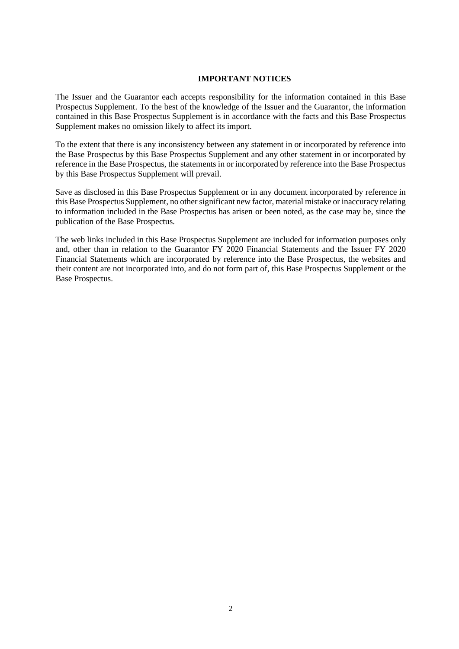### **IMPORTANT NOTICES**

The Issuer and the Guarantor each accepts responsibility for the information contained in this Base Prospectus Supplement. To the best of the knowledge of the Issuer and the Guarantor, the information contained in this Base Prospectus Supplement is in accordance with the facts and this Base Prospectus Supplement makes no omission likely to affect its import.

To the extent that there is any inconsistency between any statement in or incorporated by reference into the Base Prospectus by this Base Prospectus Supplement and any other statement in or incorporated by reference in the Base Prospectus, the statements in or incorporated by reference into the Base Prospectus by this Base Prospectus Supplement will prevail.

Save as disclosed in this Base Prospectus Supplement or in any document incorporated by reference in this Base Prospectus Supplement, no other significant new factor, material mistake or inaccuracy relating to information included in the Base Prospectus has arisen or been noted, as the case may be, since the publication of the Base Prospectus.

The web links included in this Base Prospectus Supplement are included for information purposes only and, other than in relation to the Guarantor FY 2020 Financial Statements and the Issuer FY 2020 Financial Statements which are incorporated by reference into the Base Prospectus, the websites and their content are not incorporated into, and do not form part of, this Base Prospectus Supplement or the Base Prospectus.